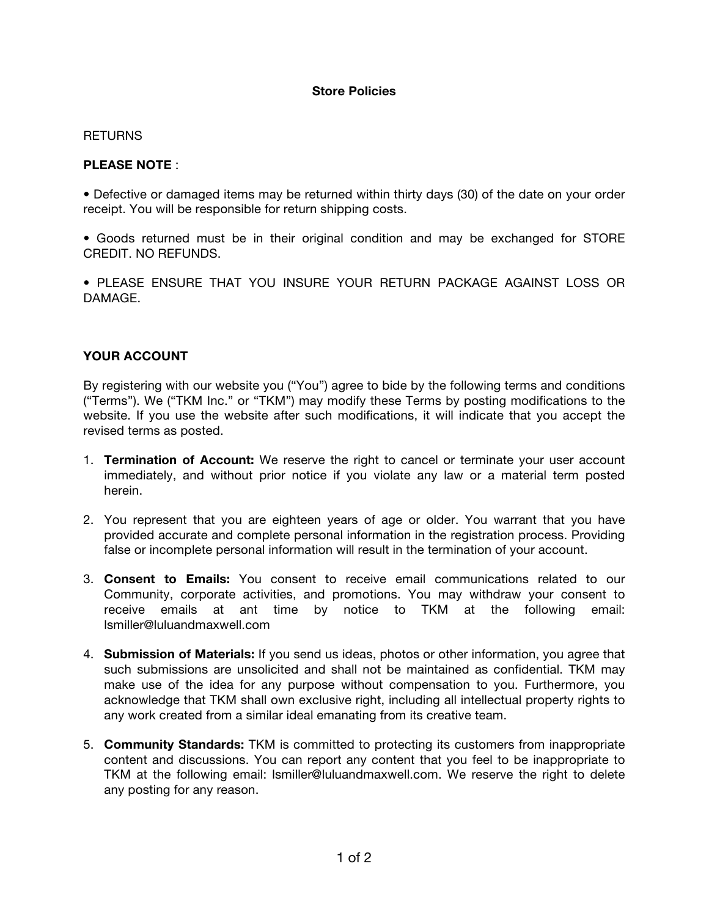## **Store Policies**

## **RETURNS**

## **PLEASE NOTE** :

• Defective or damaged items may be returned within thirty days (30) of the date on your order receipt. You will be responsible for return shipping costs.

• Goods returned must be in their original condition and may be exchanged for STORE CREDIT. NO REFUNDS.

• PLEASE ENSURE THAT YOU INSURE YOUR RETURN PACKAGE AGAINST LOSS OR DAMAGE.

## **YOUR ACCOUNT**

By registering with our website you ("You") agree to bide by the following terms and conditions ("Terms"). We ("TKM Inc." or "TKM") may modify these Terms by posting modifications to the website. If you use the website after such modifications, it will indicate that you accept the revised terms as posted.

- 1. **Termination of Account:** We reserve the right to cancel or terminate your user account immediately, and without prior notice if you violate any law or a material term posted herein.
- 2. You represent that you are eighteen years of age or older. You warrant that you have provided accurate and complete personal information in the registration process. Providing false or incomplete personal information will result in the termination of your account.
- 3. **Consent to Emails:** You consent to receive email communications related to our Community, corporate activities, and promotions. You may withdraw your consent to receive emails at ant time by notice to TKM at the following email: lsmiller@luluandmaxwell.com
- 4. **Submission of Materials:** If you send us ideas, photos or other information, you agree that such submissions are unsolicited and shall not be maintained as confidential. TKM may make use of the idea for any purpose without compensation to you. Furthermore, you acknowledge that TKM shall own exclusive right, including all intellectual property rights to any work created from a similar ideal emanating from its creative team.
- 5. **Community Standards:** TKM is committed to protecting its customers from inappropriate content and discussions. You can report any content that you feel to be inappropriate to TKM at the following email: lsmiller@luluandmaxwell.com. We reserve the right to delete any posting for any reason.